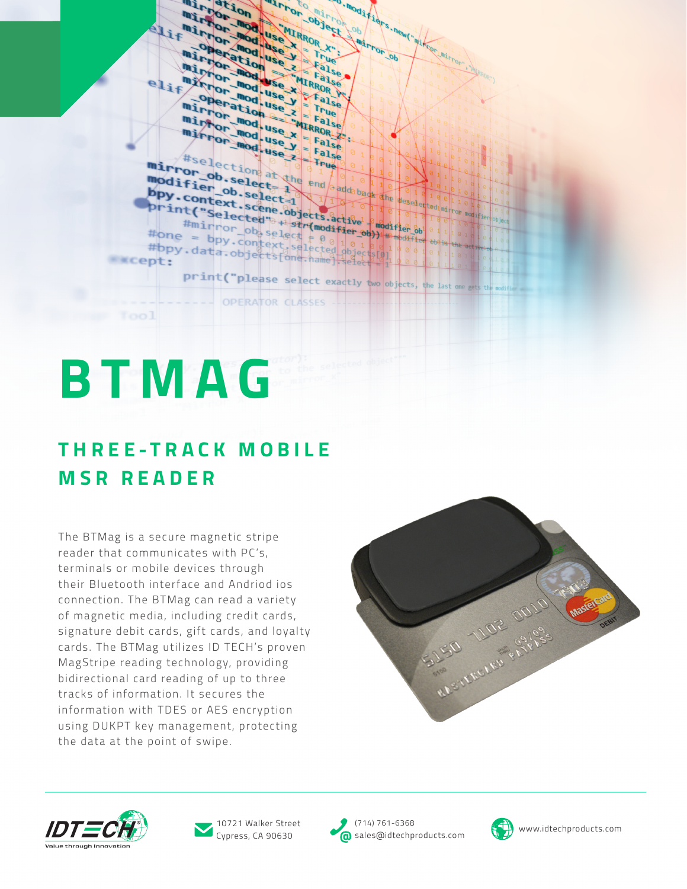mirror moduse x WEBEL FIVE WASHINGTON To Mod 1 Fides . news . A Long in the OR OR OD elif<sup>"</sup> FILIPTOF MODEL mod. use  $X = \frac{1}{\sqrt{2}}$ mirror mod.use x = False  $e1i f$ Mirror mod. use Y False  $\begin{aligned} \mathbf{R} & = \mathbf{F}^{\mathsf{u}}\mathbf{e} \\ \mathbf{e} & \mathbf{x} = \mathbf{F}^{\mathsf{u}}\mathbf{e} \\ \mathbf{e} & \mathbf{x} = \mathbf{F}^{\mathsf{u}}\mathbf{e} \\ \mathbf{e} & \mathbf{v} = \mathbf{F}^{\mathsf{u}}\mathbf{e} \end{aligned}$ The Two use X = False Hiselection at the end of the decederation mirror\_ob.selection modifier ob. select and bpy.context.select=1 Print ("Selected" +1 strengthedifier of the deset **Dogifie** #one = bpy.context selected objects #bpy.data.objectsfore.name selected **EXCept:** print("please select exactly two objects, the last one OPERATOR CLASSES

# **BTMAG**

Tool

## **T H R E E - T R A C K M O B I L E MSR READER**

The BTMag is a secure magnetic stripe reader that communicates with PC's, terminals or mobile devices through their Bluetooth interface and Andriod ios connection. The BTMag can read a variety of magnetic media, including credit cards, signature debit cards, gift cards, and loyalty cards. The BTMag utilizes ID TECH's proven MagStripe reading technology, providing bidirectional card reading of up to three tracks of information. It secures the information with TDES or AES encryption using DUKPT key management, protecting the data at the point of swipe.